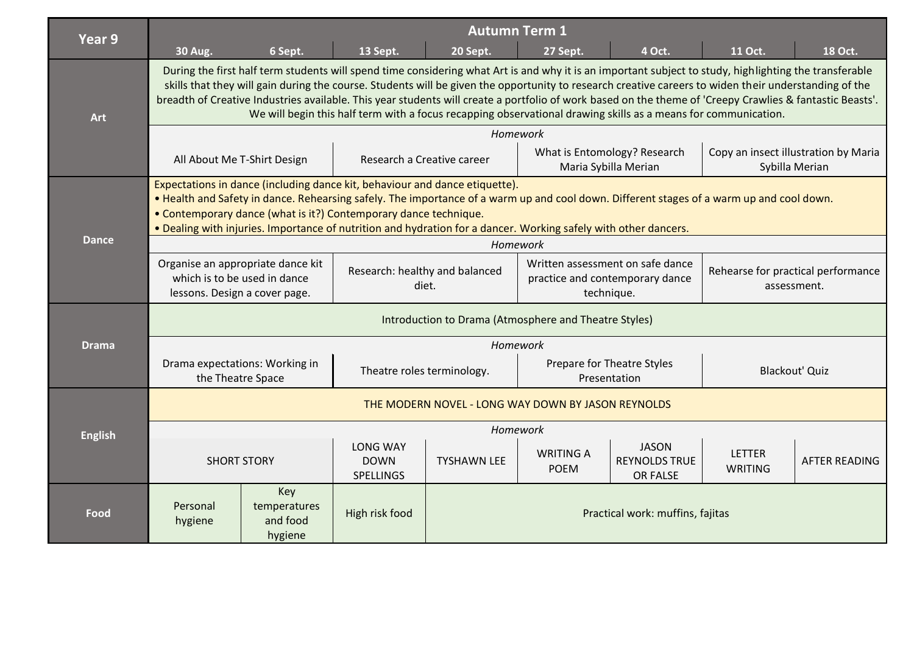| Year 9         | <b>Autumn Term 1</b>                                                                                                                                                                                                                                                                                                                                                                                                                                                                                                                                                                          |                                            |                                                    |                                  |                                                                                   |                                                  |                                                   |                      |  |
|----------------|-----------------------------------------------------------------------------------------------------------------------------------------------------------------------------------------------------------------------------------------------------------------------------------------------------------------------------------------------------------------------------------------------------------------------------------------------------------------------------------------------------------------------------------------------------------------------------------------------|--------------------------------------------|----------------------------------------------------|----------------------------------|-----------------------------------------------------------------------------------|--------------------------------------------------|---------------------------------------------------|----------------------|--|
|                | <b>30 Aug.</b>                                                                                                                                                                                                                                                                                                                                                                                                                                                                                                                                                                                | 6 Sept.                                    | 13 Sept.                                           | 20 Sept.                         | 27 Sept.                                                                          | 4 Oct.                                           | 11 Oct.                                           | 18 Oct.              |  |
| <b>Art</b>     | During the first half term students will spend time considering what Art is and why it is an important subject to study, highlighting the transferable<br>skills that they will gain during the course. Students will be given the opportunity to research creative careers to widen their understanding of the<br>breadth of Creative Industries available. This year students will create a portfolio of work based on the theme of 'Creepy Crawlies & fantastic Beasts'.<br>We will begin this half term with a focus recapping observational drawing skills as a means for communication. |                                            |                                                    |                                  |                                                                                   |                                                  |                                                   |                      |  |
|                | Homework                                                                                                                                                                                                                                                                                                                                                                                                                                                                                                                                                                                      |                                            |                                                    |                                  |                                                                                   |                                                  |                                                   |                      |  |
|                | All About Me T-Shirt Design                                                                                                                                                                                                                                                                                                                                                                                                                                                                                                                                                                   |                                            | Research a Creative career                         |                                  | What is Entomology? Research<br>Maria Sybilla Merian                              |                                                  | Copy an insect illustration by Maria              | Sybilla Merian       |  |
| <b>Dance</b>   | Expectations in dance (including dance kit, behaviour and dance etiquette).<br>. Health and Safety in dance. Rehearsing safely. The importance of a warm up and cool down. Different stages of a warm up and cool down.<br>• Contemporary dance (what is it?) Contemporary dance technique.<br>. Dealing with injuries. Importance of nutrition and hydration for a dancer. Working safely with other dancers.                                                                                                                                                                                |                                            |                                                    |                                  |                                                                                   |                                                  |                                                   |                      |  |
|                | Homework                                                                                                                                                                                                                                                                                                                                                                                                                                                                                                                                                                                      |                                            |                                                    |                                  |                                                                                   |                                                  |                                                   |                      |  |
|                | Organise an appropriate dance kit<br>which is to be used in dance<br>lessons. Design a cover page.                                                                                                                                                                                                                                                                                                                                                                                                                                                                                            |                                            | Research: healthy and balanced<br>diet.            |                                  | Written assessment on safe dance<br>practice and contemporary dance<br>technique. |                                                  | Rehearse for practical performance<br>assessment. |                      |  |
|                | Introduction to Drama (Atmosphere and Theatre Styles)                                                                                                                                                                                                                                                                                                                                                                                                                                                                                                                                         |                                            |                                                    |                                  |                                                                                   |                                                  |                                                   |                      |  |
| <b>Drama</b>   | Homework                                                                                                                                                                                                                                                                                                                                                                                                                                                                                                                                                                                      |                                            |                                                    |                                  |                                                                                   |                                                  |                                                   |                      |  |
|                | Drama expectations: Working in<br>the Theatre Space                                                                                                                                                                                                                                                                                                                                                                                                                                                                                                                                           |                                            | Theatre roles terminology.                         |                                  | Prepare for Theatre Styles<br>Presentation                                        |                                                  | <b>Blackout' Quiz</b>                             |                      |  |
|                | THE MODERN NOVEL - LONG WAY DOWN BY JASON REYNOLDS                                                                                                                                                                                                                                                                                                                                                                                                                                                                                                                                            |                                            |                                                    |                                  |                                                                                   |                                                  |                                                   |                      |  |
| <b>English</b> | Homework                                                                                                                                                                                                                                                                                                                                                                                                                                                                                                                                                                                      |                                            |                                                    |                                  |                                                                                   |                                                  |                                                   |                      |  |
|                | <b>SHORT STORY</b>                                                                                                                                                                                                                                                                                                                                                                                                                                                                                                                                                                            |                                            | <b>LONG WAY</b><br><b>DOWN</b><br><b>SPELLINGS</b> | <b>TYSHAWN LEE</b>               | <b>WRITING A</b><br><b>POEM</b>                                                   | <b>JASON</b><br><b>REYNOLDS TRUE</b><br>OR FALSE | <b>LETTER</b><br><b>WRITING</b>                   | <b>AFTER READING</b> |  |
| Food           | Personal<br>hygiene                                                                                                                                                                                                                                                                                                                                                                                                                                                                                                                                                                           | Key<br>temperatures<br>and food<br>hygiene | High risk food                                     | Practical work: muffins, fajitas |                                                                                   |                                                  |                                                   |                      |  |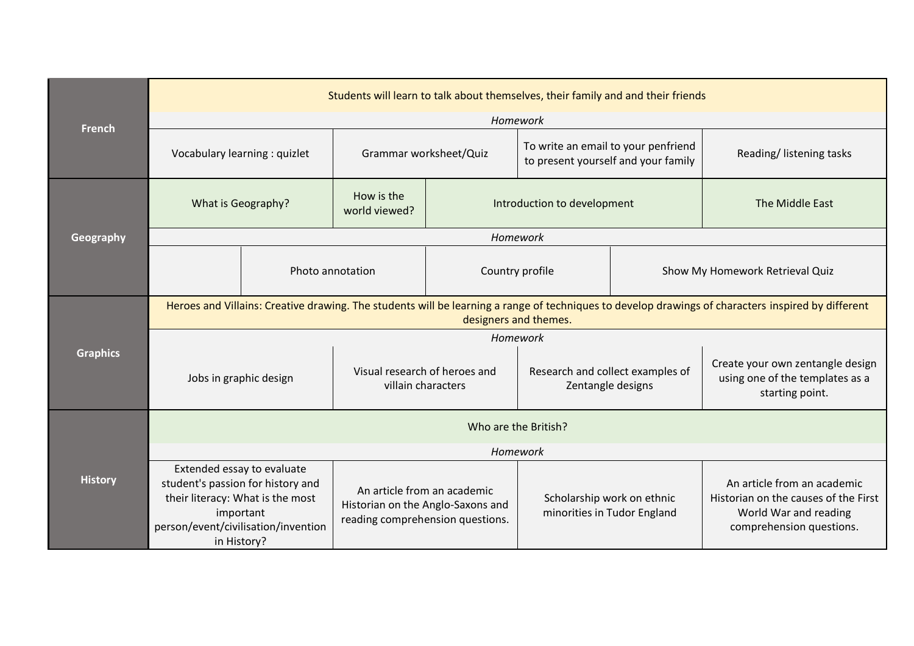| <b>French</b>   | Students will learn to talk about themselves, their family and and their friends                                                                                            |  |                                                                                                      |                                                           |                                                                            |                                                                                                                          |                                                                                        |  |
|-----------------|-----------------------------------------------------------------------------------------------------------------------------------------------------------------------------|--|------------------------------------------------------------------------------------------------------|-----------------------------------------------------------|----------------------------------------------------------------------------|--------------------------------------------------------------------------------------------------------------------------|----------------------------------------------------------------------------------------|--|
|                 | Homework                                                                                                                                                                    |  |                                                                                                      |                                                           |                                                                            |                                                                                                                          |                                                                                        |  |
|                 | Vocabulary learning : quizlet                                                                                                                                               |  | Grammar worksheet/Quiz                                                                               |                                                           | To write an email to your penfriend<br>to present yourself and your family |                                                                                                                          | Reading/Iistening tasks                                                                |  |
|                 | What is Geography?                                                                                                                                                          |  | How is the<br>world viewed?                                                                          |                                                           | Introduction to development                                                |                                                                                                                          | The Middle East                                                                        |  |
| Geography       | Homework                                                                                                                                                                    |  |                                                                                                      |                                                           |                                                                            |                                                                                                                          |                                                                                        |  |
|                 |                                                                                                                                                                             |  | Photo annotation                                                                                     | Country profile                                           |                                                                            |                                                                                                                          | Show My Homework Retrieval Quiz                                                        |  |
| <b>Graphics</b> | Heroes and Villains: Creative drawing. The students will be learning a range of techniques to develop drawings of characters inspired by different<br>designers and themes. |  |                                                                                                      |                                                           |                                                                            |                                                                                                                          |                                                                                        |  |
|                 | Homework                                                                                                                                                                    |  |                                                                                                      |                                                           |                                                                            |                                                                                                                          |                                                                                        |  |
|                 | Jobs in graphic design                                                                                                                                                      |  | Visual research of heroes and<br>villain characters                                                  |                                                           | Research and collect examples of<br>Zentangle designs                      |                                                                                                                          | Create your own zentangle design<br>using one of the templates as a<br>starting point. |  |
|                 | Who are the British?                                                                                                                                                        |  |                                                                                                      |                                                           |                                                                            |                                                                                                                          |                                                                                        |  |
|                 | Homework                                                                                                                                                                    |  |                                                                                                      |                                                           |                                                                            |                                                                                                                          |                                                                                        |  |
| <b>History</b>  | Extended essay to evaluate<br>student's passion for history and<br>their literacy: What is the most<br>important<br>person/event/civilisation/invention<br>in History?      |  | An article from an academic<br>Historian on the Anglo-Saxons and<br>reading comprehension questions. | Scholarship work on ethnic<br>minorities in Tudor England |                                                                            | An article from an academic<br>Historian on the causes of the First<br>World War and reading<br>comprehension questions. |                                                                                        |  |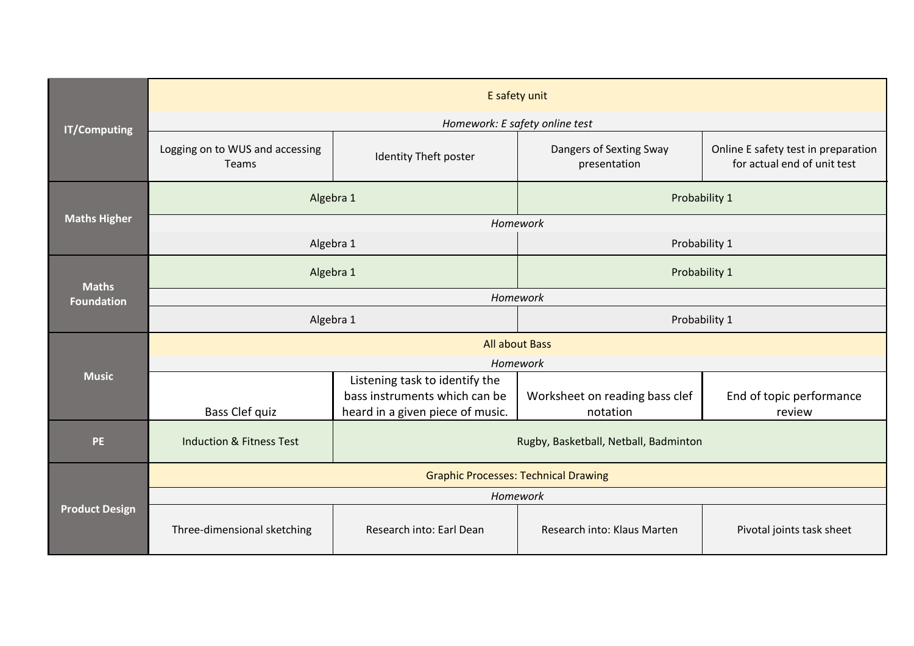| <b>IT/Computing</b>               | E safety unit                                   |                                                                                                     |                                                 |                                                                    |  |  |  |  |
|-----------------------------------|-------------------------------------------------|-----------------------------------------------------------------------------------------------------|-------------------------------------------------|--------------------------------------------------------------------|--|--|--|--|
|                                   | Homework: E safety online test                  |                                                                                                     |                                                 |                                                                    |  |  |  |  |
|                                   | Logging on to WUS and accessing<br><b>Teams</b> | Identity Theft poster                                                                               | Dangers of Sexting Sway<br>presentation         | Online E safety test in preparation<br>for actual end of unit test |  |  |  |  |
| <b>Maths Higher</b>               | Algebra 1                                       |                                                                                                     | Probability 1                                   |                                                                    |  |  |  |  |
|                                   | Homework                                        |                                                                                                     |                                                 |                                                                    |  |  |  |  |
|                                   | Algebra 1                                       |                                                                                                     | Probability 1<br>Probability 1<br>Probability 1 |                                                                    |  |  |  |  |
| <b>Maths</b><br><b>Foundation</b> | Algebra 1                                       |                                                                                                     |                                                 |                                                                    |  |  |  |  |
|                                   | Homework                                        |                                                                                                     |                                                 |                                                                    |  |  |  |  |
|                                   | Algebra 1                                       |                                                                                                     |                                                 |                                                                    |  |  |  |  |
|                                   | <b>All about Bass</b>                           |                                                                                                     |                                                 |                                                                    |  |  |  |  |
|                                   | Homework                                        |                                                                                                     |                                                 |                                                                    |  |  |  |  |
| <b>Music</b>                      | Bass Clef quiz                                  | Listening task to identify the<br>bass instruments which can be<br>heard in a given piece of music. | Worksheet on reading bass clef<br>notation      | End of topic performance<br>review                                 |  |  |  |  |
| <b>PE</b>                         | <b>Induction &amp; Fitness Test</b>             | Rugby, Basketball, Netball, Badminton                                                               |                                                 |                                                                    |  |  |  |  |
| <b>Product Design</b>             | <b>Graphic Processes: Technical Drawing</b>     |                                                                                                     |                                                 |                                                                    |  |  |  |  |
|                                   | Homework                                        |                                                                                                     |                                                 |                                                                    |  |  |  |  |
|                                   | Three-dimensional sketching                     | Research into: Earl Dean                                                                            | Research into: Klaus Marten                     | Pivotal joints task sheet                                          |  |  |  |  |